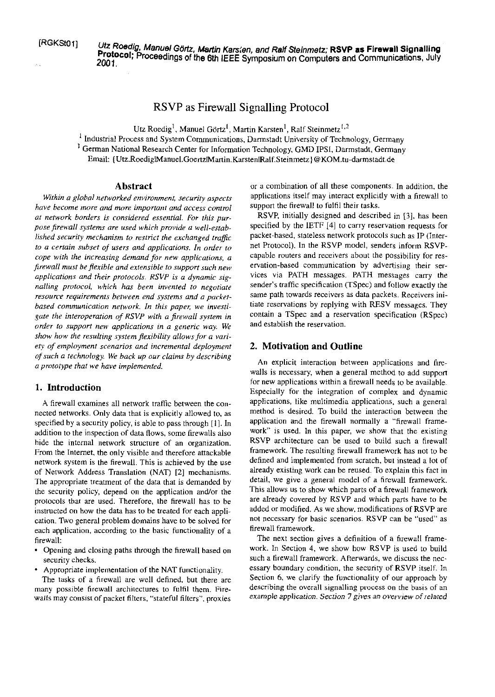Utz Roedig, Manuel Görtz, Martin Karsten, and Ralf Steinmetz; RSVP as Firewall Signalling Protocol; Proceedings of the 6th IEEE Symposium on Computers and Communications, July 2001.

# RSVP as Firewall Signalling Protocol

Utz Roedig<sup>1</sup>, Manuel Görtz<sup>1</sup>, Martin Karsten<sup>1</sup>, Ralf Steinmetz<sup>1,2</sup>

<sup>1</sup> Industrial Process and System Communications, Darmstadt University of Technology, Germany <sup>1</sup> German National Research Center for Information Technology, GMD IPSI, Darmstadt, Germany Email: {Utz.Roedig|Manuel.Goertz|Martin.Karsten|Ralf.Steinmetz}@KOM.tu-darmstadt.de

## **Abstract**

Within a global networked environment, security aspects have become more and more important and access control at network borders is considered essential. For this purpose firewall systems are used which provide a well-established security mechanism to restrict the exchanged traffic to a certain subset of users and applications. In order to cope with the increasing demand for new applications, a firewall must be flexible and extensible to support such new applications and their protocols. RSVP is a dynamic signalling protocol, which has been invented to negotiate resource requirements between end systems and a packetbased communication network. In this paper, we investigate the interoperation of RSVP with a firewall system in order to support new applications in a generic way. We show how the resulting system flexibility allows for a variety of employment scenarios and incremental deployment of such a technology. We back up our claims by describing a prototype that we have implemented.

## 1. Introduction

A firewall examines all network traffic between the connected networks. Only data that is explicitly allowed to, as specified by a security policy, is able to pass through [1]. In addition to the inspection of data flows, some firewalls also hide the internal network structure of an organization. From the Internet, the only visible and therefore attackable network system is the firewall. This is achieved by the use of Network Address Translation (NAT) [2] mechanisms. The appropriate treatment of the data that is demanded by the security policy, depend on the application and/or the protocols that are used. Therefore, the firewall has to be instructed on how the data has to be treated for each application. Two general problem domains have to be solved for each application, according to the basic functionality of a firewall:

- Opening and closing paths through the firewall based on  $\bullet$ security checks.
- Appropriate implementation of the NAT functionality.

The tasks of a firewall are well defined, but there are many possible firewall architectures to fulfil them. Firewalls may consist of packet filters, "stateful filters", proxies

or a combination of all these components. In addition, the applications itself may interact explicitly with a firewall to support the firewall to fulfil their tasks.

RSVP, initially designed and described in [3], has been specified by the IETF [4] to carry reservation requests for packet-based, stateless network protocols such as IP (Internet Protocol). In the RSVP model, senders inform RSVPcapable routers and receivers about the possibility for reservation-based communication by advertising their services via PATH messages. PATH messages carry the sender's traffic specification (TSpec) and follow exactly the same path towards receivers as data packets. Receivers initiate reservations by replying with RESV messages. They contain a TSpec and a reservation specification (RSpec) and establish the reservation.

## 2. Motivation and Outline

An explicit interaction between applications and firewalls is necessary, when a general method to add support for new applications within a firewall needs to be available. Especially for the integration of complex and dynamic applications, like multimedia applications, such a general method is desired. To build the interaction between the application and the firewall normally a "firewall framework" is used. In this paper, we show that the existing RSVP architecture can be used to build such a firewall framework. The resulting firewall framework has not to be defined and implemented from scratch, but instead a lot of already existing work can be reused. To explain this fact in detail, we give a general model of a firewall framework. This allows us to show which parts of a firewall framework are already covered by RSVP and which parts have to be added or modified. As we show, modifications of RSVP are not necessary for basic scenarios. RSVP can be "used" as firewall framework.

The next section gives a definition of a firewall framework. In Section 4, we show how RSVP is used to build such a firewall framework. Afterwards, we discuss the necessary boundary condition, the security of RSVP itself. In Section 6, we clarify the functionality of our approach by describing the overall signalling process on the basis of an example application. Section 7 gives an overview of related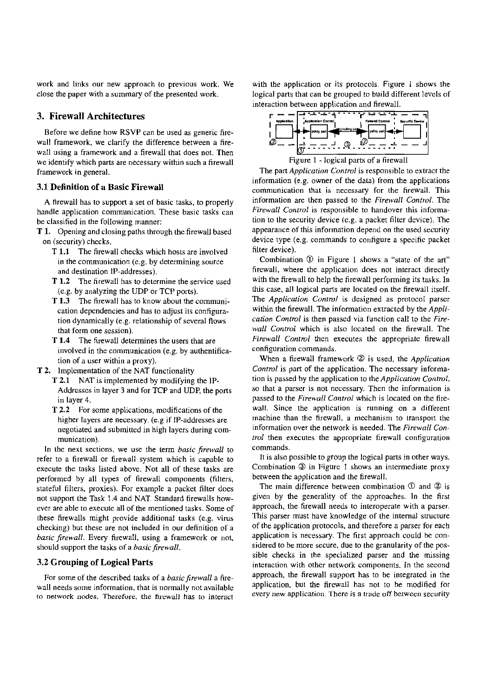work and links our new approach to previous work. We close the paper with a summaty of the presented work.

# **3. Firewall Architectures**

Before we define how RSVP can be used as generic firewall framework, we clarify the difference between a firewall using a framework and a firewall that does not. Then we identify which parts are necessary within such a firewall framework in general.

#### **3.1 Definition of a Basic Firewall**

**A** firewall has to support a set of basic tasks, to properly handle application communication. These basic tasks can be classified in the following manner:

- T **1.** Opening and closing paths through the firewall based on (security) checks.
	- T **1.1** The firewall checks which hosts are involved in the communication (e.g. by determining source and destination 1P-addresses).
	- **T 1.2** The firewall has to deiermine the service used (e.g. by analyzing the UDP or TCP ports).
	- **T 1.3** The firewall has to know about the communication dependencies and has to adjust its configuration dynamically (e.g. relationship of several flows that form one session).
	- **T 1.4** The firewall determines the Users that are involved in the communication (e.g. by authentification of a user within a proxy).
- **T 2.** lmplementation of the NAT functionality **T 2.1** NAT is implemented by modifying the IP-Addresses in layer 3 and for TCP and UDP, the ports in layer 4.
	- **T 2.2** For some applications, modifications of the higher layers are necessary. (e.g if 1P-addresses are negotiated and submitted in high layers during communication).

In the next sections, we use the term *basic firewall* to refer to a firewall or firewall system which is capable to execute the tasks listed above. Not all of these tasks are performed by all types of firewall components (filters. stateful filters, proxies). For example a packet filter does not support the Task 1.4 and NAT. Standard firewalls however are able to execute all of the mentioned tasks. Some of these firewalls rnight provide additional tasks (e.g. virus checking) but these are not included in our definition of a basic firewall. Every firewall, using a framework or not, should support the tasks of a *basic firewall*.

## **3.2 Grouping of Logical Parts**

For some of the described tasks of a *basic firewall* a firewall needs some information, that is normally not available to network nodes. Therefore, the firewall has to interact

with the application or its protocols. Figure 1 shows the logical parts that can be grouped to build different levels of interaction between application and firewall.



Figure 1 - logical parts of a firewall

The part *Application Control* is responsible to extract the information (e.g. owner of the dala) from the applications communication that is necessary for the firewall. This information are then passed to the *Firewall Control*. The **Firewall Control** is responsible to handover this information to the security device (e.g. a packet filter device). The appearance of this information depend on the used security device type (e.g. comrnands to configure a specific packet filter device).

Combination @ in Figure I shows a "state of the art" firewall, where the application does not interact directly with the firewall to help the firewall performing its tasks. In this case, all logical parts are located on the firewall itself. The *Application Control* is designed as protocol parser within the firewall. The information extracted by the **Appli**cation Control is then passed via function call to the Fire**wall Conrroi** which is also located on the firewall. The Firewall Control then executes the appropriate firewall configuration commands.

When a firewall framework 2 is used, the *Application* Control is part of the application. The necessary information is passed by the application to the *Application Control*, so that a parser is not necessaty. Then the information is passed to the Firewall Control which is located on the firewall. Since the application is running on a different machine than the firewall, a mechanism to transport the information over the network is needed. The **Firewall Con-Ir01** then executes the appropriate firewall configuration commands.

It is also possihle to group the logical parts in other ways. Combination @ in Figure 1 shows an intermediate proxy between the application and the firewall.

The main difference hetween combination *O* and @ is given by the generality of the approaches. In the first approach, the firewall needs to interoperate with a parser. This parser must have knowledge of the internal structure of the application protocols, and therefore a parser for each application is necessary. The first approach could be considered to be more secure, due to the granularity of the possible checks in the specialized parser and the missing interaction with other network components. In the second approach, the firewall support has to be integrated in the application, but the firewall has not to he modified for every new application. There is a trade off between security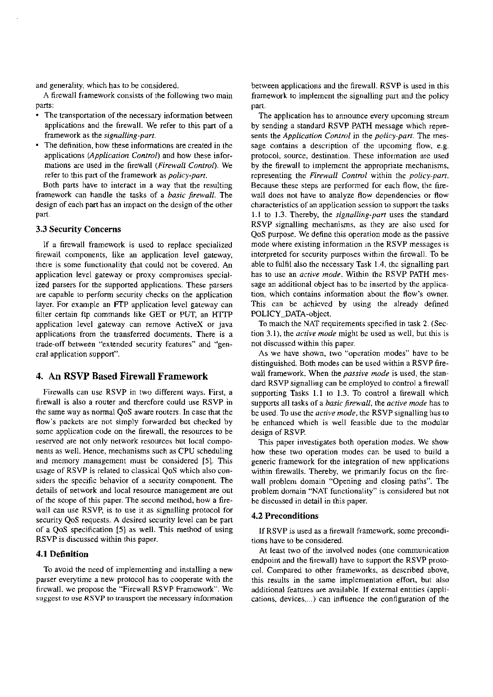and generality, which has to be considered.

A firewall framework consists of the following two main parts:

- The transportation of the necessary information between applications and the firewall. We refer to this part of a framework as the **signalling-parr.**
- The definition. how these informations are created in the applications (*Application Control*) and how these informations are used in the firewall **(Firewall Conirol).** We refer to this part of the framework as **policy-parr.**

Both parts have to interact in a way that the resulting framework can handle the tasks of a **basic firewoll.** The design of each patt has an impact on the design of the other Part.

## **3.3 Security Concerns**

If a firewall framework is used to replace specialized firewall components, like an application level gateway, there is some functionality that could not be covered. An application level gateway or proxy compromises specialized parsers for the supported applications. These parsers are capable to perform security checks on the application layer. For example an FTP application level gateway can filter certain ftp commands like GET or PUT, an HTTP application level gateway can remove ActiveX or java applications from the transferred documents. There is a trade-off between "extended security features" and "general application support".

# **4. An RSVP Based Firewall Framework**

Firewalls can use RSVP in two different ways. First, a firewall is also a router and therefore could use RSVP in the same way as normal QoS aware routers. In case that the flow's packets are not simply forwarded but checked by some application code on the firewall, the resources to be reserved are not only network resources but local components as well. Hence, mechanisms such as CPU scheduling and memory management must be considered [5]. This usage of RSVP is related to classical QoS which also considers the specific behavior of a security component. The details of network and local resource management are out of the scope of this paper. The second method, how a firewall can use RSVP, is to use it as signalling protocol for security QoS requests. **A** desired security level can be part of a QoS specification *[5]* as well. This method of using RSVP is discussed within this paper.

## **4.1 Definition**

To avoid the need of implementing and installing a new Parser everytime a new protocol has to cooperate with the hrewall. we propose the "Firewall RSVP Framework. We suggest to use RSVP to transport the necessary information

between applications and the firewall. RSVP is used in this framework to implement the signalling part and the policy part.

The application has to announce every upcoming stream by sending a standard RSVP PATH message which represents the *Application Control* in the *policy-part*. The message contains a description of the upcoming flow, e.g. protocol, source, destination. These information are used by the firewall to implement the appropriate mechanisms, representing the Firewall Control within the *policy-part*. Because these steps are performed for each flow, the firewall does not have to analyze flow dependencies or flow characteristics of an application session to support the tasks 1.1 to 1.3. Thereby, the *signalling-part* uses the standard RSVP signalling mechanisms, as they are also used for QoS purpose. We define this operation mode as the passive mode where existing information in the RSVP messages is interpreted for security purposes within the firewall. To be able to fulfil also the necessary Task 1.4, the signalling part has to use an **ocrive mode.** Within the RSVP PATH message an additional object has to be inserted by the application. which contains information about the flow's owner. This can be achieved by using the already defined POLICY-DATA-object.

To match the NAT requirements specified in task 2. (Section 3.1). the **acrive mode** might be used as well, but this is not discussed within this paper.

As we have shown, two "operation modes" have to be distinguished. Both modes can be used within a RSVP firewall framework. When the **passive mode** is used. the standard RSVP signalling can be employed 10 control a firewall supporting Tasks 1.1 to 1.3. To control a firewall which supports all tasks of a **basic,firewoll.** the **ocrive mode** has to be used. To use the **acrive mode,** the RSVP signalling has to be enhanced whieh is well feasible due to the modular design of RSVP.

This paper investigates both operation modes. We show how these two operation modes can be used to build a generic framework for the integration of new applications within firewalls. Thereby, we primarily focus on the firewall problem domain "Opening and closing paths". The problem domain "NAT functionality" is considered but not be discussed in detail in this paper.

## **4.2 Preconditions**

If RSVP is used as a firewall framework, some preconditions have to be considered.

At least two of the involved nodes (one communication endpoint and the firewall) have to support the RSVP protocol. Compared to other frameworks, as described above. this results in the same implementation effort, but also additional features are available. If external entities (applications, devices,...) can influence the configuration of the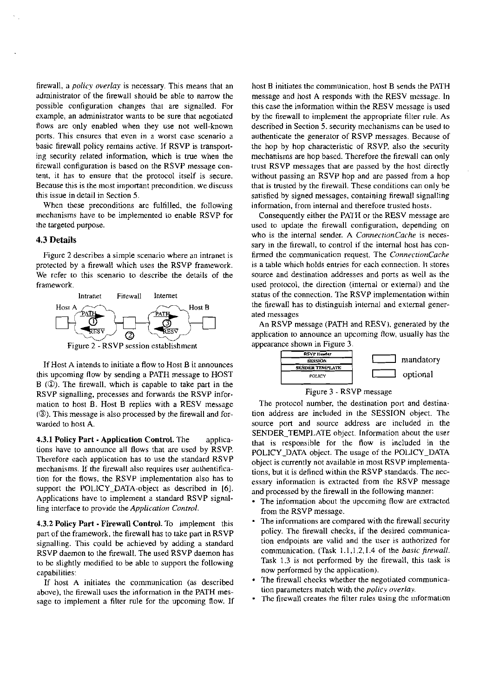firewall, a *policv overlay* is necessary. This means that an adrninistrator of the firewall should be able to narrow the possible configuration changes that are signalled. For example, an administrator wants to be sure that negotiated flows are only enabled when they use not well-known ports. This ensures that even in a worst case scenario a basic firewall policy remains active. If RSVP is transporting security related infomation, which is tme when the tirewall wnfiguration is based on the RSVP message content, it has to ensure that the protocol itself is secure. Because this is ihe most important precondition. we discuss this issue in detail in Section 5.

When these preconditions are fulfilled, the following mechanisms have to be implemented to enable RSVP for the targeted purpose.

## 4.3 Details

Figure 2 describes a simple scenario where an intranet is protected by a firewall which uses the RSVP framework. We refer to this scenario to describe the details of the framework.



If Host A intends to initiate a flow to Host B it announces this upcoming flow by sending a PATH message to HOST B *(O).* The firewall, which is capable to take part in the RSVP signalling, processes and forwards the RSVP information to host B. Host B replies with a RESV message ((3). This message is also processed by the firewall and forwarded to host A.

**4.3.1 Policy Part - Application Control.** The applications have to announce all flows that are used by RSVP. Therefore each application has to use the standard RSVP mechanisms. If the firewall also requires user auihentification for the flows, the RSVP implementation also has to support the POLICY-DATA-object as described in [6]. Applications have to implement a standard RSVP signalling interface to provide the *Appliration Control.* 

**4.3.2** Policy Part - Firewall Control. To implement this part of the framework, the firewall has to take part in RSVP signalling. This could be achieved by adding a standard RSVP daemon to the firewall. The used RSVP daemon has to be slightly modified to be able to support the following capabilities:

If host A initiates the communication (as described above), the firewall uses the information in the PATH message to implement a filter rule for the upcoming flow. If host B initiates the communication, host B sends the PATH message and host A responds with the RESV message. In this case the information within the RESV message is used by the firewall to implement the appropriate filter mle. As described in Section 5. security mechanisms can be used to authenticate the generator of RSVP messages. Because of the hop by hop characteristic of RSVP, also the security mechanisms are hop based. Therefore the firewall can only trust RSVP messages that are passed by the host directly without passing an RSVP hop and are passed from a hop that is tmsted by the firewall. These conditions can only be satisfied by signed messages, containing firewall signalling infomation, from intemal and therefore trusted hosts.

Consequently either the PATH or the RESV message are used to update the firewall configuration, depending on who is the intemal sender. A *ConnecrionCache* is necessary in the firewall, to control if the internal host has confirmed the communication request. The *ConnrcrionCache*  is a table which holds entries for each connection. It stores source and destination addresses and pons as well as the used protocol, the direction (intemal or extemal) and the status of the connection. The RSVP implementation within the firewall has to distinguish intemal and extemal generated messages

An RSVP message (PATH and RESV). generared by the application to announce an upcoming flow, usually has the appearance shown in Figure 3.





The protocol number, the destination pori and destination address are included in the SESSION object. The source port and source address are included in the SENDER TEMPLATE object. Information about the user thai is responsible for the flow is included in the POLlCY-DATA object. The usage of the POLICY-DATA object is currently not available in mosi RSVP implementations, but it is defined within the RSVP standards. The necessary information is extracted from the RSVP message and processed by the firewall in the following manner:

- The information about the upcoming flow are extracted from the RSVP message.
- The informations are compared with the firewall security policy. The firewall checks. if the desired communication endpoints are valid and the user is authorized for communication. (Task 1.1,1.2, I 4 of the *basic firewall*. Task 1.3 is not performed by the firewall, this task is now performed by the application).
- The firewall checks whether the negotiated communication parameters match with the *policy overlay*.
- The firewall creates the filter rules using the information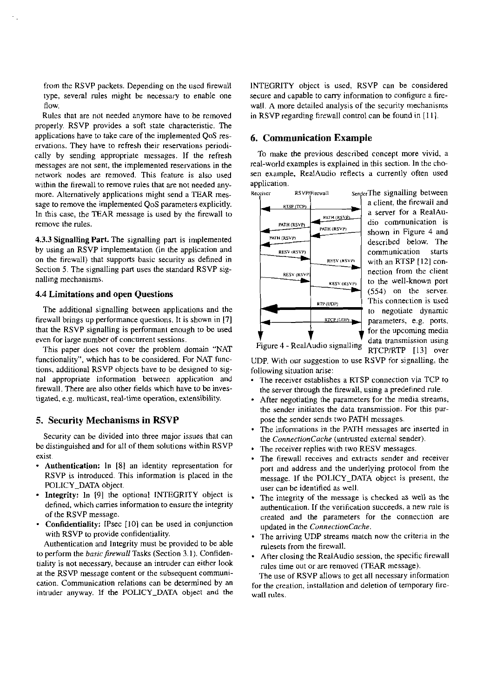from the RSVP packets. Depending on the used firewall type, several rules might be necessary to enable one flow.

Rules that are not needed anymore have to be removed properly. RSVP provides a soft state characteristic. The applications have to take care of the implemented QoS reservations. They have to refresh their reservations periodically by sending appropriate messages. If the refresh messages are not sent, the implemented reservations in the network nodes are removed. This feature is also used within the firewall to remove rules that are not needed anymore. Alternatively applications might send a TEAR message to remove the implemented QoS parameters explicitly. In this case, the TEAR message is used by ihe firewall to remove the rules.

4.3.3 Signalling Part. The signalling part is implemented by using an RSVP implementation (in the application and on the tirewall) that supports basic security **as** defined in Section 5. The signalling part uses the standard RSVP signalling mechanisms.

#### 4.4 Limitations and Open Questions

The additional signalling between applications and the firewall brings up performance questions. It is shown in [7] that the RSVP signalling is performani enough to be used even for large number of concurrent sessions.

This paper does not Cover the problem domain "NAT functionality", which has to be considered. For NAT functions, additional RSVP objects have to be designed to signal appropriate information between applicotion and firewall. There are also other fields which have to **be** investigated, **e.g.** multicast, real-time operation, extensibility.

## **5.** Security Mechanisms in RSVP

Security can be divided into three major issues that can be distinguished and for all of them solutions within RSVP exist.

- Authentication: In **[8]** an identity representation for RSVP is introduced. This information is placed in the POLICY-DATA object.
- Integrity: In [91 the optional INTEGRITY object is defined. which carries information to ensure the integrity of the RSVP message.
- Confidentiality: IPsec [10] can be used in conjunction with RSVP to provide confidentiality.

Authentication and lntegrity must be provided to be able to perform the *basic firewall* Tasks (Section 3.1). Confidentiality is not necessary, because an intruder can either look at the RSVP message content or the subsequent communication. Communication relations can be determined by an intruder anyway. **If** the POLICY-DATA object and the INTEGRITY object is used, RSVP can be considered secure and capable to carry information to configure a firewall. A more detailed analysis of the security mechanisms in RSVP regarding firewall control can be found in  $[11]$ .

## 6. Communication Example

To make the previous described concept more vivid. a real-world examples is explained in this section. In the chosen example, RealAudio reflects a currenlly often used application.



a client. the firewall and a server for a RealAudio communication is shown in Figure 4 and described below. The communication starts<br>with an RTSP [12] connection from the client to the well-known port (554) on the server. This connection is used io negotiate dynamic parameters, e.g. ports, for the upcoming media **T** data transmission using<br>Figure 4 - RealAudio signalling RTCP/RTP [13] over

UDP. With our Suggestion to use RSVP for signalling, the following situation arise:

- The receiver establishes a RTSP connection via TCP to the server through the firewall, using a predefined nile.
- After negotiating the parameters for the media streams, the sender initiates the data transmission. For this purpose the sender sends two PATH messages.
- . The infomiations in the PATH messages are inserted in the *ConnectionCache* (untrusted external sender).<br>• The receiver replies with two RESV messages.
- 
- The receiver replies with two RESV messages.<br>The firewall receives and extracts sender and receiver port and address and the underlying protocol from the message. If the POLICY-DATA object is present, the User can be identified as well.
- The integrity of the message is checked as weli as the authenticaiion. If the verification succeeds, a new nile is created and the parameters for the connection are updated in the *ConnectionCache.*
- . The arriving UDP streams match now the criteria in the nilesets from the firewall.
- . After closing the RealAudio session. the specific firewall niles time out or are removed (TEAR message).

The use of RSVP allows to get all necessary information for the creation, installation and deletion of temporary firewalI rules.